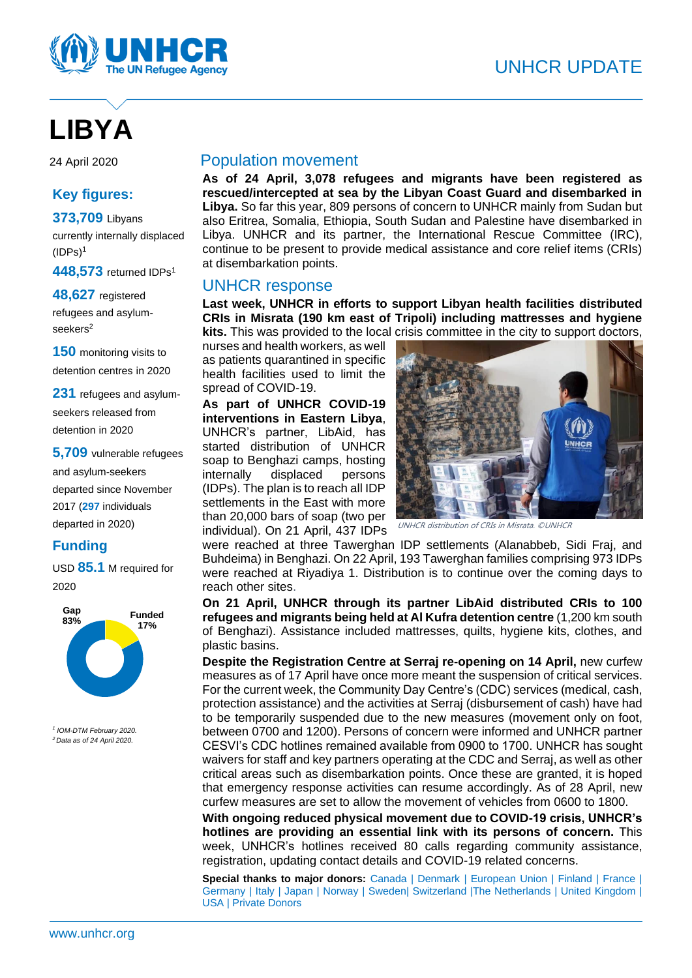

# **LIBYA**

### **Key figures:**

**373,709** Libyans currently internally displaced  $(IDPs)<sup>1</sup>$ 

**448,573** returned IDPs<sup>1</sup>

**48,627** registered refugees and asylumseekers<sup>2</sup>

**150** monitoring visits to detention centres in 2020

**231** refugees and asylumseekers released from detention in 2020

**5,709** vulnerable refugees and asylum-seekers departed since November 2017 (**297** individuals departed in 2020)

## **Funding**

USD **85.1** M required for 2020



*1 IOM-DTM February 2020. <sup>2</sup>Data as of 24 April 2020.*

#### 24 April 2020 Population movement

**As of 24 April, 3,078 refugees and migrants have been registered as rescued/intercepted at sea by the Libyan Coast Guard and disembarked in Libya.** So far this year, 809 persons of concern to UNHCR mainly from Sudan but also Eritrea, Somalia, Ethiopia, South Sudan and Palestine have disembarked in Libya. UNHCR and its partner, the International Rescue Committee (IRC), continue to be present to provide medical assistance and core relief items (CRIs) at disembarkation points.

#### UNHCR response

**Last week, UNHCR in efforts to support Libyan health facilities distributed CRIs in Misrata (190 km east of Tripoli) including mattresses and hygiene** 

**kits.** This was provided to the local crisis committee in the city to support doctors, nurses and health workers, as well as patients quarantined in specific health facilities used to limit the spread of COVID-19.

**As part of UNHCR COVID-19 interventions in Eastern Libya**, UNHCR's partner, LibAid, has started distribution of UNHCR soap to Benghazi camps, hosting internally displaced persons (IDPs). The plan is to reach all IDP settlements in the East with more than 20,000 bars of soap (two per individual). On 21 April, 437 IDPs



UNHCR distribution of CRIs in Misrata. ©UNHCR

were reached at three Tawerghan IDP settlements (Alanabbeb, Sidi Fraj, and Buhdeima) in Benghazi. On 22 April, 193 Tawerghan families comprising 973 IDPs were reached at Riyadiya 1. Distribution is to continue over the coming days to reach other sites.

**On 21 April, UNHCR through its partner LibAid distributed CRIs to 100 refugees and migrants being held at Al Kufra detention centre** (1,200 km south of Benghazi). Assistance included mattresses, quilts, hygiene kits, clothes, and plastic basins.

**Despite the Registration Centre at Serraj re-opening on 14 April,** new curfew measures as of 17 April have once more meant the suspension of critical services. For the current week, the Community Day Centre's (CDC) services (medical, cash, protection assistance) and the activities at Serraj (disbursement of cash) have had to be temporarily suspended due to the new measures (movement only on foot, between 0700 and 1200). Persons of concern were informed and UNHCR partner CESVI's CDC hotlines remained available from 0900 to 1700. UNHCR has sought waivers for staff and key partners operating at the CDC and Serraj, as well as other critical areas such as disembarkation points. Once these are granted, it is hoped that emergency response activities can resume accordingly. As of 28 April, new curfew measures are set to allow the movement of vehicles from 0600 to 1800.

**With ongoing reduced physical movement due to COVID-19 crisis, UNHCR's hotlines are providing an essential link with its persons of concern.** This week, UNHCR's hotlines received 80 calls regarding community assistance, registration, updating contact details and COVID-19 related concerns.

**Special thanks to major donors:** Canada | Denmark | European Union | Finland | France | Germany | Italy | Japan | Norway | Sweden| Switzerland |The Netherlands | United Kingdom | USA | Private Donors